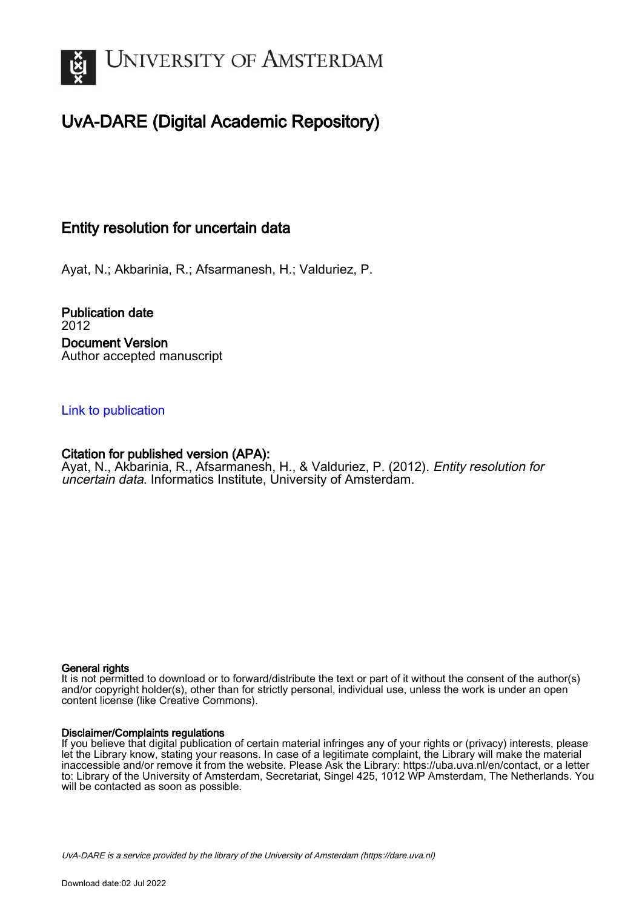

# UvA-DARE (Digital Academic Repository)

# Entity resolution for uncertain data

Ayat, N.; Akbarinia, R.; Afsarmanesh, H.; Valduriez, P.

Publication date 2012 Document Version Author accepted manuscript

## [Link to publication](https://dare.uva.nl/personal/pure/en/publications/entity-resolution-for-uncertain-data(0fe08102-45b3-450e-9b5a-1ede80900131).html)

## Citation for published version (APA):

Ayat, N., Akbarinia, R., Afsarmanesh, H., & Valduriez, P. (2012). Entity resolution for uncertain data. Informatics Institute, University of Amsterdam.

## General rights

It is not permitted to download or to forward/distribute the text or part of it without the consent of the author(s) and/or copyright holder(s), other than for strictly personal, individual use, unless the work is under an open content license (like Creative Commons).

## Disclaimer/Complaints regulations

If you believe that digital publication of certain material infringes any of your rights or (privacy) interests, please let the Library know, stating your reasons. In case of a legitimate complaint, the Library will make the material inaccessible and/or remove it from the website. Please Ask the Library: https://uba.uva.nl/en/contact, or a letter to: Library of the University of Amsterdam, Secretariat, Singel 425, 1012 WP Amsterdam, The Netherlands. You will be contacted as soon as possible.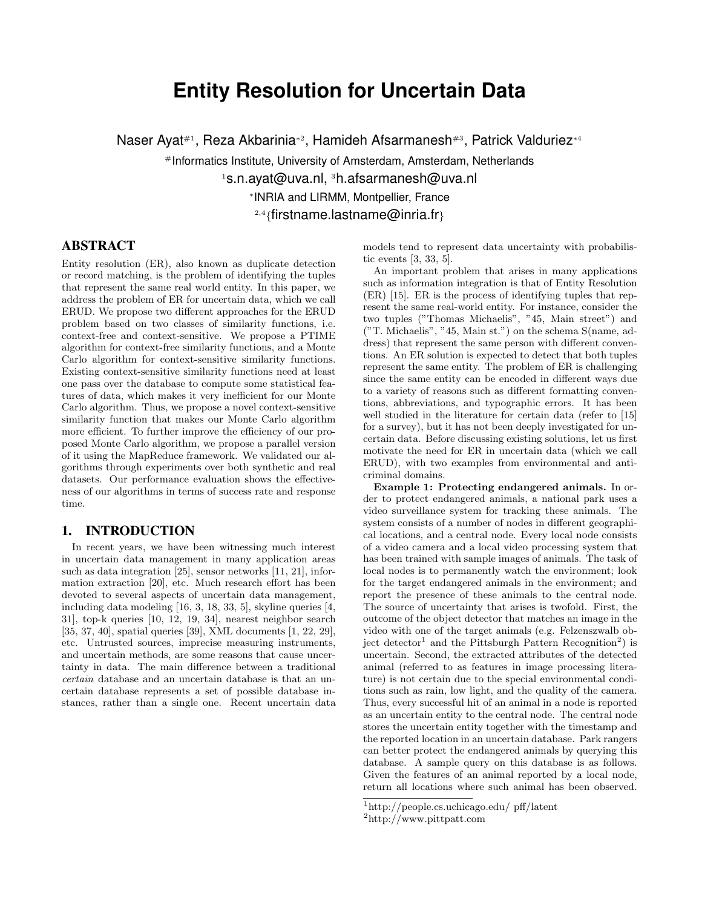# **Entity Resolution for Uncertain Data**

Naser Ayat<sup>#1</sup>, Reza Akbarinia<sup>∗2</sup>, Hamideh Afsarmanesh<sup>#3</sup>, Patrick Valduriez\*<sup>4</sup>

#Informatics Institute, University of Amsterdam, Amsterdam, Netherlands <sup>1</sup>s.n.ayat@uva.nl, <sup>3</sup>h.afsarmanesh@uva.nl ∗ INRIA and LIRMM, Montpellier, France  $^{2,4}\{$ firstname.lastname@inria.fr $\}$ 

## ABSTRACT

Entity resolution (ER), also known as duplicate detection or record matching, is the problem of identifying the tuples that represent the same real world entity. In this paper, we address the problem of ER for uncertain data, which we call ERUD. We propose two different approaches for the ERUD problem based on two classes of similarity functions, i.e. context-free and context-sensitive. We propose a PTIME algorithm for context-free similarity functions, and a Monte Carlo algorithm for context-sensitive similarity functions. Existing context-sensitive similarity functions need at least one pass over the database to compute some statistical features of data, which makes it very inefficient for our Monte Carlo algorithm. Thus, we propose a novel context-sensitive similarity function that makes our Monte Carlo algorithm more efficient. To further improve the efficiency of our proposed Monte Carlo algorithm, we propose a parallel version of it using the MapReduce framework. We validated our algorithms through experiments over both synthetic and real datasets. Our performance evaluation shows the effectiveness of our algorithms in terms of success rate and response time.

#### 1. INTRODUCTION

In recent years, we have been witnessing much interest in uncertain data management in many application areas such as data integration [25], sensor networks [11, 21], information extraction [20], etc. Much research effort has been devoted to several aspects of uncertain data management, including data modeling [16, 3, 18, 33, 5], skyline queries [4, 31], top-k queries [10, 12, 19, 34], nearest neighbor search [35, 37, 40], spatial queries [39], XML documents [1, 22, 29], etc. Untrusted sources, imprecise measuring instruments, and uncertain methods, are some reasons that cause uncertainty in data. The main difference between a traditional certain database and an uncertain database is that an uncertain database represents a set of possible database instances, rather than a single one. Recent uncertain data models tend to represent data uncertainty with probabilistic events [3, 33, 5].

An important problem that arises in many applications such as information integration is that of Entity Resolution (ER) [15]. ER is the process of identifying tuples that represent the same real-world entity. For instance, consider the two tuples ("Thomas Michaelis", "45, Main street") and ("T. Michaelis", "45, Main st.") on the schema S(name, address) that represent the same person with different conventions. An ER solution is expected to detect that both tuples represent the same entity. The problem of ER is challenging since the same entity can be encoded in different ways due to a variety of reasons such as different formatting conventions, abbreviations, and typographic errors. It has been well studied in the literature for certain data (refer to [15] for a survey), but it has not been deeply investigated for uncertain data. Before discussing existing solutions, let us first motivate the need for ER in uncertain data (which we call ERUD), with two examples from environmental and anticriminal domains.

Example 1: Protecting endangered animals. In order to protect endangered animals, a national park uses a video surveillance system for tracking these animals. The system consists of a number of nodes in different geographical locations, and a central node. Every local node consists of a video camera and a local video processing system that has been trained with sample images of animals. The task of local nodes is to permanently watch the environment; look for the target endangered animals in the environment; and report the presence of these animals to the central node. The source of uncertainty that arises is twofold. First, the outcome of the object detector that matches an image in the video with one of the target animals (e.g. Felzenszwalb object detector<sup>1</sup> and the Pittsburgh Pattern Recognition<sup>2</sup>) is uncertain. Second, the extracted attributes of the detected animal (referred to as features in image processing literature) is not certain due to the special environmental conditions such as rain, low light, and the quality of the camera. Thus, every successful hit of an animal in a node is reported as an uncertain entity to the central node. The central node stores the uncertain entity together with the timestamp and the reported location in an uncertain database. Park rangers can better protect the endangered animals by querying this database. A sample query on this database is as follows. Given the features of an animal reported by a local node, return all locations where such animal has been observed.

<sup>1</sup>http://people.cs.uchicago.edu/ pff/latent

<sup>2</sup>http://www.pittpatt.com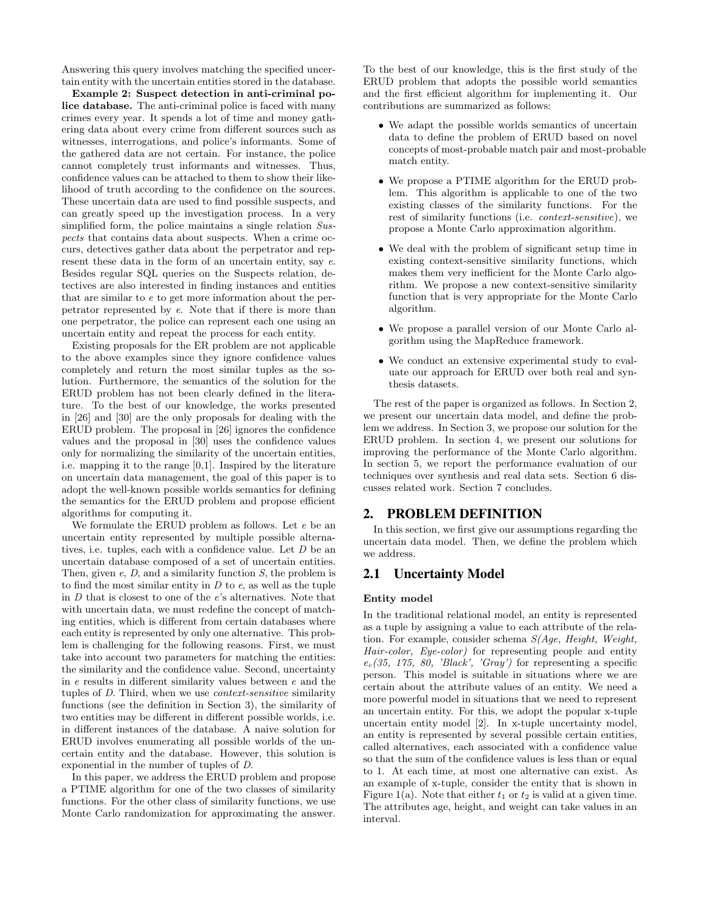Answering this query involves matching the specified uncertain entity with the uncertain entities stored in the database.

Example 2: Suspect detection in anti-criminal police database. The anti-criminal police is faced with many crimes every year. It spends a lot of time and money gathering data about every crime from different sources such as witnesses, interrogations, and police's informants. Some of the gathered data are not certain. For instance, the police cannot completely trust informants and witnesses. Thus, confidence values can be attached to them to show their likelihood of truth according to the confidence on the sources. These uncertain data are used to find possible suspects, and can greatly speed up the investigation process. In a very simplified form, the police maintains a single relation Suspects that contains data about suspects. When a crime occurs, detectives gather data about the perpetrator and represent these data in the form of an uncertain entity, say  $e$ . Besides regular SQL queries on the Suspects relation, detectives are also interested in finding instances and entities that are similar to e to get more information about the perpetrator represented by e. Note that if there is more than one perpetrator, the police can represent each one using an uncertain entity and repeat the process for each entity.

Existing proposals for the ER problem are not applicable to the above examples since they ignore confidence values completely and return the most similar tuples as the solution. Furthermore, the semantics of the solution for the ERUD problem has not been clearly defined in the literature. To the best of our knowledge, the works presented in [26] and [30] are the only proposals for dealing with the ERUD problem. The proposal in [26] ignores the confidence values and the proposal in [30] uses the confidence values only for normalizing the similarity of the uncertain entities, i.e. mapping it to the range [0,1]. Inspired by the literature on uncertain data management, the goal of this paper is to adopt the well-known possible worlds semantics for defining the semantics for the ERUD problem and propose efficient algorithms for computing it.

We formulate the ERUD problem as follows. Let  $e$  be an uncertain entity represented by multiple possible alternatives, i.e. tuples, each with a confidence value. Let D be an uncertain database composed of a set of uncertain entities. Then, given  $e$ ,  $D$ , and a similarity function  $S$ , the problem is to find the most similar entity in  $D$  to  $e$ , as well as the tuple in  ${\cal D}$  that is closest to one of the  $e's alternatives. Note that$ with uncertain data, we must redefine the concept of matching entities, which is different from certain databases where each entity is represented by only one alternative. This problem is challenging for the following reasons. First, we must take into account two parameters for matching the entities: the similarity and the confidence value. Second, uncertainty in e results in different similarity values between e and the tuples of D. Third, when we use context-sensitive similarity functions (see the definition in Section 3), the similarity of two entities may be different in different possible worlds, i.e. in different instances of the database. A naive solution for ERUD involves enumerating all possible worlds of the uncertain entity and the database. However, this solution is exponential in the number of tuples of D.

In this paper, we address the ERUD problem and propose a PTIME algorithm for one of the two classes of similarity functions. For the other class of similarity functions, we use Monte Carlo randomization for approximating the answer. To the best of our knowledge, this is the first study of the ERUD problem that adopts the possible world semantics and the first efficient algorithm for implementing it. Our contributions are summarized as follows:

- We adapt the possible worlds semantics of uncertain data to define the problem of ERUD based on novel concepts of most-probable match pair and most-probable match entity.
- We propose a PTIME algorithm for the ERUD problem. This algorithm is applicable to one of the two existing classes of the similarity functions. For the rest of similarity functions (i.e. context-sensitive), we propose a Monte Carlo approximation algorithm.
- We deal with the problem of significant setup time in existing context-sensitive similarity functions, which makes them very inefficient for the Monte Carlo algorithm. We propose a new context-sensitive similarity function that is very appropriate for the Monte Carlo algorithm.
- We propose a parallel version of our Monte Carlo algorithm using the MapReduce framework.
- We conduct an extensive experimental study to evaluate our approach for ERUD over both real and synthesis datasets.

The rest of the paper is organized as follows. In Section 2, we present our uncertain data model, and define the problem we address. In Section 3, we propose our solution for the ERUD problem. In section 4, we present our solutions for improving the performance of the Monte Carlo algorithm. In section 5, we report the performance evaluation of our techniques over synthesis and real data sets. Section 6 discusses related work. Section 7 concludes.

#### 2. PROBLEM DEFINITION

In this section, we first give our assumptions regarding the uncertain data model. Then, we define the problem which we address.

## 2.1 Uncertainty Model

#### Entity model

In the traditional relational model, an entity is represented as a tuple by assigning a value to each attribute of the relation. For example, consider schema S(Age, Height, Weight, Hair-color, Eye-color) for representing people and entity  $e_c(35, 175, 80, 'Black', 'Gray')$  for representing a specific person. This model is suitable in situations where we are certain about the attribute values of an entity. We need a more powerful model in situations that we need to represent an uncertain entity. For this, we adopt the popular x-tuple uncertain entity model [2]. In x-tuple uncertainty model, an entity is represented by several possible certain entities, called alternatives, each associated with a confidence value so that the sum of the confidence values is less than or equal to 1. At each time, at most one alternative can exist. As an example of x-tuple, consider the entity that is shown in Figure 1(a). Note that either  $t_1$  or  $t_2$  is valid at a given time. The attributes age, height, and weight can take values in an interval.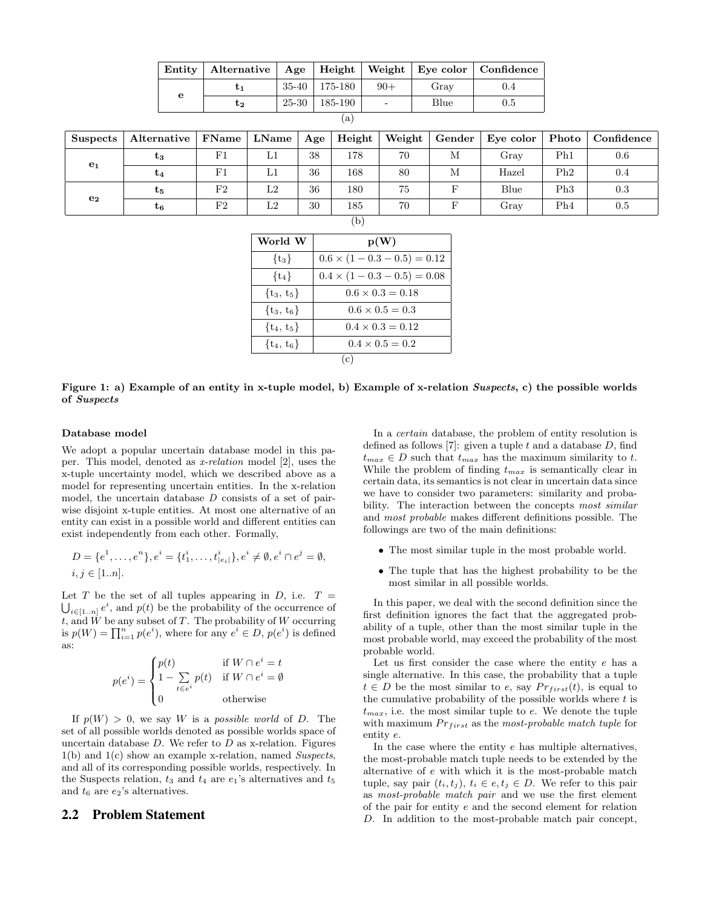| Entity | Alternative   Age   Height   Weight   Eye color   Confidence |       |                   |                          |      |     |
|--------|--------------------------------------------------------------|-------|-------------------|--------------------------|------|-----|
| е      |                                                              |       | $35-40$   175-180 | $90+$                    | Grav | 0.4 |
|        | U2                                                           | 25-30 | $185-190$         | $\overline{\phantom{0}}$ | Blue | 0.5 |

| ×<br>. . |  |
|----------|--|
|          |  |

| <b>Suspects</b> | Alternative    | FName       | LName | Age | Height | Weight | Gender | Eve color $\vert$ | $\bf{Photo}$ | Confidence |
|-----------------|----------------|-------------|-------|-----|--------|--------|--------|-------------------|--------------|------------|
| $\mathbf{e}_1$  | $\tau_3$       | F1          | L1    | 38  | 178    | 70     | М      | $_{\rm Grav}$     | Ph1          | 0.6        |
|                 | U4             | F1          | L1    | 36  | 168    | 80     | М      | Hazel             | Ph2          | 0.4        |
| e <sub>2</sub>  | $\mathrm{t}_5$ | $_{\rm F2}$ | L2    | 36  | 180    | 75     |        | Blue              | Ph3          | 0.3        |
|                 | t6             | F2          | L2    | 30  | 185    | 70     |        | $_{\rm Grav}$     | Ph4          | 0.5        |

| World W        | p(W)                                |
|----------------|-------------------------------------|
| $\{t_3\}$      | $0.6 \times (1 - 0.3 - 0.5) = 0.12$ |
| $\{t_4\}$      | $0.4 \times (1 - 0.3 - 0.5) = 0.08$ |
| $\{t_3, t_5\}$ | $0.6 \times 0.3 = 0.18$             |
| $\{t_3, t_6\}$ | $0.6 \times 0.5 = 0.3$              |
| $\{t_4, t_5\}$ | $0.4 \times 0.3 = 0.12$             |
| $\{t_4, t_6\}$ | $0.4 \times 0.5 = 0.2$              |
|                | (c)                                 |

Figure 1: a) Example of an entity in x-tuple model, b) Example of x-relation Suspects, c) the possible worlds of Suspects

#### Database model

We adopt a popular uncertain database model in this paper. This model, denoted as x-relation model [2], uses the x-tuple uncertainty model, which we described above as a model for representing uncertain entities. In the x-relation model, the uncertain database  $D$  consists of a set of pairwise disjoint x-tuple entities. At most one alternative of an entity can exist in a possible world and different entities can exist independently from each other. Formally,

$$
D = \{e^1, \dots, e^n\}, e^i = \{t_1^i, \dots, t_{|e_i|}^i\}, e^i \neq \emptyset, e^i \cap e^j = \emptyset,
$$
  
 $i, j \in [1..n].$ 

Let T be the set of all tuples appearing in D, i.e.  $T =$  $\bigcup_{i\in[1..n]}e^i$ , and  $p(t)$  be the probability of the occurrence of t, and  $W$  be any subset of  $T$ . The probability of  $W$  occurring is  $p(W) = \prod_{i=1}^{n} p(e^i)$ , where for any  $e^i \in D$ ,  $p(e^i)$  is defined as:

$$
p(e^i) = \begin{cases} p(t) & \text{if } W \cap e^i = t \\ 1 - \sum_{t \in e^i} p(t) & \text{if } W \cap e^i = \emptyset \\ 0 & \text{otherwise} \end{cases}
$$

If  $p(W) > 0$ , we say W is a possible world of D. The set of all possible worlds denoted as possible worlds space of uncertain database  $D$ . We refer to  $D$  as x-relation. Figures  $1(b)$  and  $1(c)$  show an example x-relation, named Suspects, and all of its corresponding possible worlds, respectively. In the Suspects relation,  $t_3$  and  $t_4$  are  $e_1$ 's alternatives and  $t_5$ and  $t_6$  are  $e_2$ 's alternatives.

#### 2.2 Problem Statement

In a certain database, the problem of entity resolution is defined as follows  $[7]$ : given a tuple t and a database D, find  $t_{max} \in D$  such that  $t_{max}$  has the maximum similarity to t. While the problem of finding  $t_{max}$  is semantically clear in certain data, its semantics is not clear in uncertain data since we have to consider two parameters: similarity and probability. The interaction between the concepts most similar and most probable makes different definitions possible. The followings are two of the main definitions:

- The most similar tuple in the most probable world.
- The tuple that has the highest probability to be the most similar in all possible worlds.

In this paper, we deal with the second definition since the first definition ignores the fact that the aggregated probability of a tuple, other than the most similar tuple in the most probable world, may exceed the probability of the most probable world.

Let us first consider the case where the entity e has a single alternative. In this case, the probability that a tuple  $t \in D$  be the most similar to e, say  $Pr_{first}(t)$ , is equal to the cumulative probability of the possible worlds where  $t$  is  $t_{max}$ , i.e. the most similar tuple to e. We denote the tuple with maximum  $Pr_{first}$  as the most-probable match tuple for entity e.

In the case where the entity e has multiple alternatives, the most-probable match tuple needs to be extended by the alternative of e with which it is the most-probable match tuple, say pair  $(t_i, t_j)$ ,  $t_i \in e, t_j \in D$ . We refer to this pair as most-probable match pair and we use the first element of the pair for entity e and the second element for relation D. In addition to the most-probable match pair concept,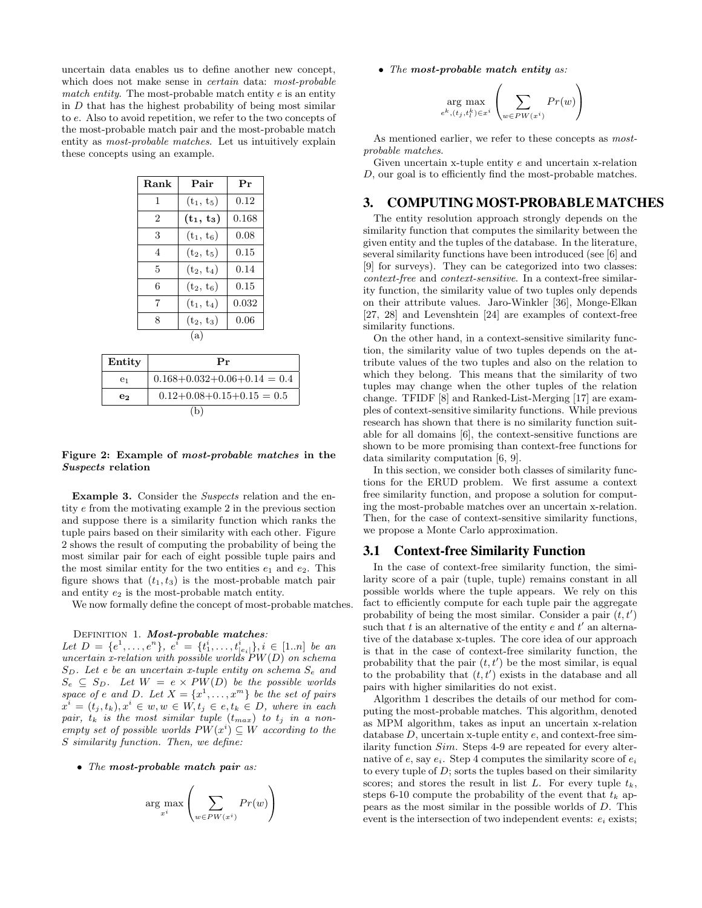uncertain data enables us to define another new concept, which does not make sense in *certain* data: *most-probable* match entity. The most-probable match entity  $e$  is an entity in  $D$  that has the highest probability of being most similar to e. Also to avoid repetition, we refer to the two concepts of the most-probable match pair and the most-probable match entity as most-probable matches. Let us intuitively explain these concepts using an example.

| Rank           | Pair         | Pr    |
|----------------|--------------|-------|
| 1              | $(t_1, t_5)$ | 0.12  |
| $\overline{2}$ | $(t_1, t_3)$ | 0.168 |
| 3              | $(t_1, t_6)$ | 0.08  |
| $\overline{4}$ | $(t_2, t_5)$ | 0.15  |
| 5              | $(t_2, t_4)$ | 0.14  |
| 6              | $(t_2, t_6)$ | 0.15  |
| 7              | $(t_1, t_4)$ | 0.032 |
| 8              | $(t_2, t_3)$ | 0.06  |
|                | (a)          |       |
|                |              |       |

| Entity         | Pr                                  |
|----------------|-------------------------------------|
| e <sub>1</sub> | $0.168 + 0.032 + 0.06 + 0.14 = 0.4$ |
| e2             | $0.12+0.08+0.15+0.15=0.5$           |
|                | (b)                                 |

#### Figure 2: Example of most-probable matches in the Suspects relation

Example 3. Consider the *Suspects* relation and the entity e from the motivating example 2 in the previous section and suppose there is a similarity function which ranks the tuple pairs based on their similarity with each other. Figure 2 shows the result of computing the probability of being the most similar pair for each of eight possible tuple pairs and the most similar entity for the two entities  $e_1$  and  $e_2$ . This figure shows that  $(t_1, t_3)$  is the most-probable match pair and entity  $e_2$  is the most-probable match entity.

We now formally define the concept of most-probable matches.

DEFINITION 1. Most-probable matches:

Let  $D = \{e^1, \ldots, e^n\}$ ,  $e^i = \{t_1^i, \ldots, t_{|e_i|}^i\}$ ,  $i \in [1..n]$  be an uncertain x-relation with possible worlds  $PW(D)$  on schema  $S_D$ . Let e be an uncertain x-tuple entity on schema  $S_e$  and  $S_e \subseteq S_D$ . Let  $W = e \times PW(D)$  be the possible worlds space of e and D. Let  $X = \{x^1, \ldots, x^m\}$  be the set of pairs  $x^i = (t_j, t_k), x^i \in w, w \in W, t_j \in e, t_k \in D$ , where in each pair,  $t_k$  is the most similar tuple  $(t_{max})$  to  $t_j$  in a nonempty set of possible worlds  $PW(x^i) \subseteq W$  according to the S similarity function. Then, we define:

• The most-probable match pair as:

$$
\arg\max_{x^i} \left( \sum_{w \in PW(x^i)} Pr(w) \right)
$$

• The most-probable match entity as:

$$
\underset{e^k, (t_j, t_l^k) \in x^i}{\arg \max} \left( \sum_{w \in PW(x^i)} Pr(w) \right)
$$

As mentioned earlier, we refer to these concepts as mostprobable matches.

Given uncertain x-tuple entity e and uncertain x-relation D, our goal is to efficiently find the most-probable matches.

#### 3. COMPUTINGMOST-PROBABLEMATCHES

The entity resolution approach strongly depends on the similarity function that computes the similarity between the given entity and the tuples of the database. In the literature, several similarity functions have been introduced (see [6] and [9] for surveys). They can be categorized into two classes: context-free and context-sensitive. In a context-free similarity function, the similarity value of two tuples only depends on their attribute values. Jaro-Winkler [36], Monge-Elkan [27, 28] and Levenshtein [24] are examples of context-free similarity functions.

On the other hand, in a context-sensitive similarity function, the similarity value of two tuples depends on the attribute values of the two tuples and also on the relation to which they belong. This means that the similarity of two tuples may change when the other tuples of the relation change. TFIDF [8] and Ranked-List-Merging [17] are examples of context-sensitive similarity functions. While previous research has shown that there is no similarity function suitable for all domains [6], the context-sensitive functions are shown to be more promising than context-free functions for data similarity computation [6, 9].

In this section, we consider both classes of similarity functions for the ERUD problem. We first assume a context free similarity function, and propose a solution for computing the most-probable matches over an uncertain x-relation. Then, for the case of context-sensitive similarity functions, we propose a Monte Carlo approximation.

### 3.1 Context-free Similarity Function

In the case of context-free similarity function, the similarity score of a pair (tuple, tuple) remains constant in all possible worlds where the tuple appears. We rely on this fact to efficiently compute for each tuple pair the aggregate probability of being the most similar. Consider a pair  $(t, t')$ such that t is an alternative of the entity  $e$  and  $t'$  an alternative of the database x-tuples. The core idea of our approach is that in the case of context-free similarity function, the probability that the pair  $(t, t')$  be the most similar, is equal to the probability that  $(t, t')$  exists in the database and all pairs with higher similarities do not exist.

Algorithm 1 describes the details of our method for computing the most-probable matches. This algorithm, denoted as MPM algorithm, takes as input an uncertain x-relation database  $D$ , uncertain x-tuple entity  $e$ , and context-free similarity function Sim. Steps 4-9 are repeated for every alternative of e, say  $e_i$ . Step 4 computes the similarity score of  $e_i$ to every tuple of  $D$ ; sorts the tuples based on their similarity scores; and stores the result in list L. For every tuple  $t_k$ , steps 6-10 compute the probability of the event that  $t_k$  appears as the most similar in the possible worlds of D. This event is the intersection of two independent events:  $e_i$  exists;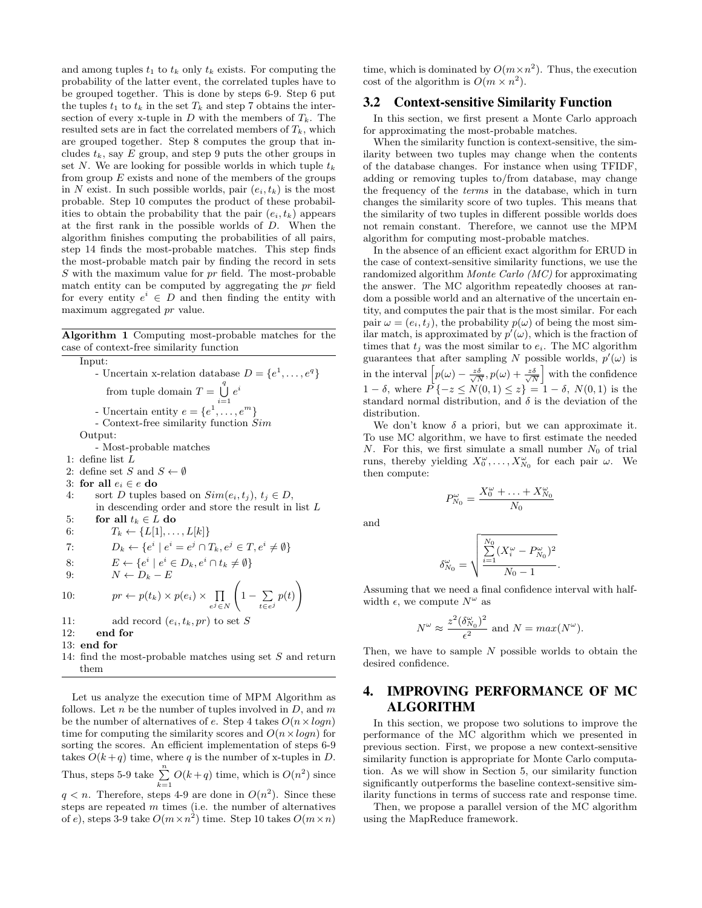and among tuples  $t_1$  to  $t_k$  only  $t_k$  exists. For computing the probability of the latter event, the correlated tuples have to be grouped together. This is done by steps 6-9. Step 6 put the tuples  $t_1$  to  $t_k$  in the set  $T_k$  and step 7 obtains the intersection of every x-tuple in D with the members of  $T_k$ . The resulted sets are in fact the correlated members of  $T_k$ , which are grouped together. Step 8 computes the group that includes  $t_k$ , say E group, and step 9 puts the other groups in set N. We are looking for possible worlds in which tuple  $t_k$ from group  $E$  exists and none of the members of the groups in N exist. In such possible worlds, pair  $(e_i, t_k)$  is the most probable. Step 10 computes the product of these probabilities to obtain the probability that the pair  $(e_i, t_k)$  appears at the first rank in the possible worlds of D. When the algorithm finishes computing the probabilities of all pairs, step 14 finds the most-probable matches. This step finds the most-probable match pair by finding the record in sets  $S$  with the maximum value for  $pr$  field. The most-probable match entity can be computed by aggregating the pr field for every entity  $e^i \in D$  and then finding the entity with maximum aggregated pr value.

Algorithm 1 Computing most-probable matches for the case of context-free similarity function

Input: - Uncertain x-relation database  $D = \{e^1, \ldots, e^q\}$ from tuple domain  $T = \bigcup_{i=1}^{q} e^{i}$ - Uncertain entity  $e = \{e^1, \ldots, e^m\}$ - Context-free similarity function Sim Output: - Most-probable matches 1: define list L 2: define set S and  $S \leftarrow \emptyset$ 3: for all  $e_i \in e$  do 4: sort D tuples based on  $Sim(e_i, t_j), t_j \in D$ , in descending order and store the result in list L 5: for all  $t_k \in L$  do 6:  $T_k \leftarrow \{L[1], \ldots, L[k]\}$ 7:  $D_k \leftarrow \{e^i \mid e^i = e^j \cap T_k, e^j \in T, e^i \neq \emptyset\}$ 8:  $E \leftarrow \{e^i \mid e^i \in D_k, e^i \cap t_k \neq \emptyset\}$ 9:  $N \leftarrow D_k - E$ 10:  $pr \leftarrow p(t_k) \times p(e_i) \times \prod$  $e^j \in N$  $\sqrt{ }$  $1-\sum$ t∈ej  $p(t)$  $\setminus$ 11: add record  $(e_i, t_k, pr)$  to set S 12: end for 13: end for 14: find the most-probable matches using set S and return them

Let us analyze the execution time of MPM Algorithm as follows. Let  $n$  be the number of tuples involved in  $D$ , and  $m$ be the number of alternatives of e. Step 4 takes  $O(n \times log n)$ time for computing the similarity scores and  $O(n \times log n)$  for sorting the scores. An efficient implementation of steps 6-9 takes  $O(k+q)$  time, where q is the number of x-tuples in D. Thus, steps 5-9 take  $\sum_{k=1}^{n} O(k+q)$  time, which is  $O(n^2)$  since  $q < n$ . Therefore, steps 4-9 are done in  $O(n^2)$ . Since these steps are repeated  $m$  times (i.e. the number of alternatives of e), steps 3-9 take  $O(m \times n^2)$  time. Step 10 takes  $O(m \times n)$ 

time, which is dominated by  $O(m \times n^2)$ . Thus, the execution cost of the algorithm is  $O(m \times n^2)$ .

## 3.2 Context-sensitive Similarity Function

In this section, we first present a Monte Carlo approach for approximating the most-probable matches.

When the similarity function is context-sensitive, the similarity between two tuples may change when the contents of the database changes. For instance when using TFIDF, adding or removing tuples to/from database, may change the frequency of the terms in the database, which in turn changes the similarity score of two tuples. This means that the similarity of two tuples in different possible worlds does not remain constant. Therefore, we cannot use the MPM algorithm for computing most-probable matches.

In the absence of an efficient exact algorithm for ERUD in the case of context-sensitive similarity functions, we use the randomized algorithm Monte Carlo (MC) for approximating the answer. The MC algorithm repeatedly chooses at random a possible world and an alternative of the uncertain entity, and computes the pair that is the most similar. For each pair  $\omega = (e_i, t_j)$ , the probability  $p(\omega)$  of being the most similar match, is approximated by  $p'(\omega)$ , which is the fraction of times that  $t_j$  was the most similar to  $e_i$ . The MC algorithm guarantees that after sampling N possible worlds,  $p'(\omega)$  is in the interval  $\left[ p(\omega) - \frac{z\delta}{\sqrt{N}}, p(\omega) + \frac{z\delta}{\sqrt{N}} \right]$  with the confidence  $1 - \delta$ , where  $P^{-}{-z \leq N(0, 1) \leq z} = 1 - \delta$ ,  $N(0, 1)$  is the standard normal distribution, and  $\delta$  is the deviation of the distribution.

We don't know  $\delta$  a priori, but we can approximate it. To use MC algorithm, we have to first estimate the needed N. For this, we first simulate a small number  $N_0$  of trial runs, thereby yielding  $X_0^{\omega}, \ldots, X_{N_0}^{\omega}$  for each pair  $\omega$ . We then compute:

$$
P_{N_0}^{\omega} = \frac{X_0^{\omega} + \ldots + X_{N_0}^{\omega}}{N_0}
$$

P

and

$$
\delta_{N_0}^{\omega} = \sqrt{\frac{\sum\limits_{i=1}^{N_0}(X_i^{\omega} - P_{N_0}^{\omega})^2}{N_0 - 1}}
$$

.

Assuming that we need a final confidence interval with halfwidth  $\epsilon$ , we compute  $N^{\omega}$  as

$$
N^{\omega} \approx \frac{z^2 (\delta_{N_0}^{\omega})^2}{\epsilon^2}
$$
 and  $N = max(N^{\omega})$ .

Then, we have to sample  $N$  possible worlds to obtain the desired confidence.

## 4. IMPROVING PERFORMANCE OF MC ALGORITHM

In this section, we propose two solutions to improve the performance of the MC algorithm which we presented in previous section. First, we propose a new context-sensitive similarity function is appropriate for Monte Carlo computation. As we will show in Section 5, our similarity function significantly outperforms the baseline context-sensitive similarity functions in terms of success rate and response time.

Then, we propose a parallel version of the MC algorithm using the MapReduce framework.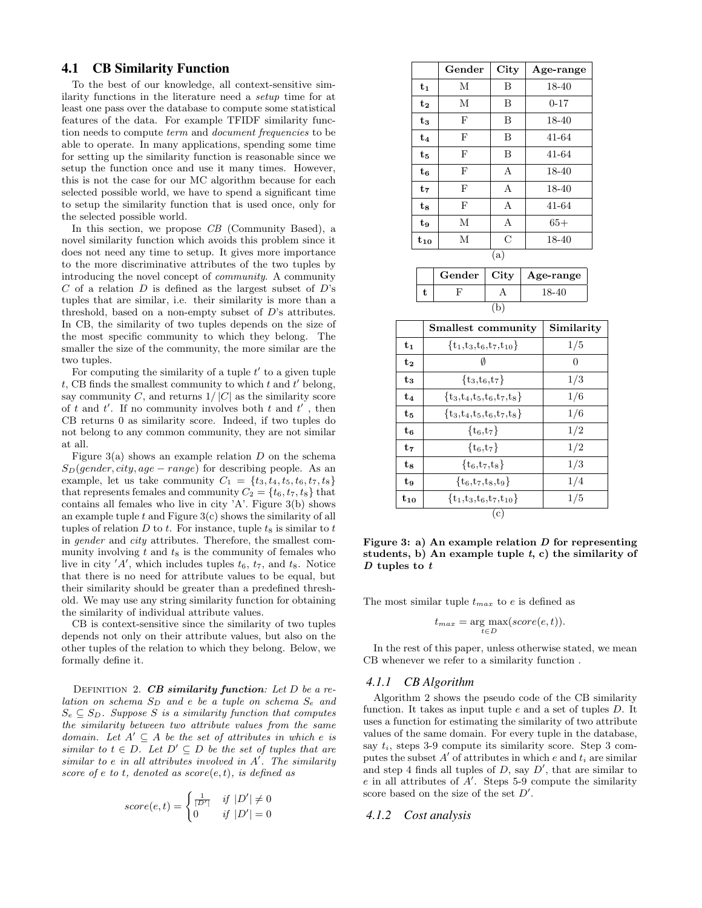### 4.1 CB Similarity Function

To the best of our knowledge, all context-sensitive similarity functions in the literature need a setup time for at least one pass over the database to compute some statistical features of the data. For example TFIDF similarity function needs to compute term and document frequencies to be able to operate. In many applications, spending some time for setting up the similarity function is reasonable since we setup the function once and use it many times. However, this is not the case for our MC algorithm because for each selected possible world, we have to spend a significant time to setup the similarity function that is used once, only for the selected possible world.

In this section, we propose CB (Community Based), a novel similarity function which avoids this problem since it does not need any time to setup. It gives more importance to the more discriminative attributes of the two tuples by introducing the novel concept of community. A community  $C$  of a relation  $D$  is defined as the largest subset of  $D$ 's tuples that are similar, i.e. their similarity is more than a threshold, based on a non-empty subset of D's attributes. In CB, the similarity of two tuples depends on the size of the most specific community to which they belong. The smaller the size of the community, the more similar are the two tuples.

For computing the similarity of a tuple  $t'$  to a given tuple  $t$ , CB finds the smallest community to which  $t$  and  $t'$  belong, say community C, and returns  $1/|C|$  as the similarity score of t and t'. If no community involves both t and t', then CB returns 0 as similarity score. Indeed, if two tuples do not belong to any common community, they are not similar at all.

Figure  $3(a)$  shows an example relation D on the schema  $S_D(gender, city, age-range)$  for describing people. As an example, let us take community  $C_1 = \{t_3, t_4, t_5, t_6, t_7, t_8\}$ that represents females and community  $C_2 = \{t_6, t_7, t_8\}$  that contains all females who live in city 'A'. Figure 3(b) shows an example tuple  $t$  and Figure  $3(c)$  shows the similarity of all tuples of relation  $D$  to  $t$ . For instance, tuple  $t_8$  is similar to  $t$ in gender and city attributes. Therefore, the smallest community involving  $t$  and  $t_8$  is the community of females who live in city  $'A'$ , which includes tuples  $t_6$ ,  $t_7$ , and  $t_8$ . Notice that there is no need for attribute values to be equal, but their similarity should be greater than a predefined threshold. We may use any string similarity function for obtaining the similarity of individual attribute values.

CB is context-sensitive since the similarity of two tuples depends not only on their attribute values, but also on the other tuples of the relation to which they belong. Below, we formally define it.

DEFINITION 2.  $CB$  similarity function: Let D be a relation on schema  $S_D$  and e be a tuple on schema  $S_e$  and  $S_e \subseteq S_D$ . Suppose S is a similarity function that computes the similarity between two attribute values from the same domain. Let  $A' \subseteq A$  be the set of attributes in which e is similar to  $t \in D$ . Let  $D' \subseteq D$  be the set of tuples that are  $similar\ to\ e\ in\ all\ attributes\ involved\ in\ A'.\ The\ similarity$ score of e to t, denoted as  $score(e, t)$ , is defined as

$$
score(e, t) = \begin{cases} \frac{1}{|D'|} & \text{if } |D'| \neq 0\\ 0 & \text{if } |D'| = 0 \end{cases}
$$

|                | Gender | City | Age-range |
|----------------|--------|------|-----------|
| $t_1$          | М      | B    | 18-40     |
| $t_{2}$        | М      | B    | $0 - 17$  |
| $t_{3}$        | F      | B    | 18-40     |
| $t_{4}$        | F      | B    | 41-64     |
| $t_{5}$        | F      | B    | 41-64     |
| $t_{6}$        | F      | A    | 18-40     |
| $t_{7}$        | F      | A    | 18-40     |
| $t_{8}$        | F      | A    | 41-64     |
| t <sub>9</sub> | М      | А    | $65+$     |
| $t_{10}$       | М      | С    | 18-40     |
|                |        | (a)  |           |
|                | Gender | City | Age-range |

|  | Gender   City   Age-range |
|--|---------------------------|
|  | 18-40                     |
|  |                           |

|          | Smallest community            | Similarity |
|----------|-------------------------------|------------|
| t1       | $\{t_1,t_3,t_6,t_7,t_{10}\}$  | 1/5        |
| $t_{2}$  |                               | $\theta$   |
| $t_{3}$  | $\{t_3,t_6,t_7\}$             | 1/3        |
| t4       | $\{t_3,t_4,t_5,t_6,t_7,t_8\}$ | 1/6        |
| tв       | $\{t_3,t_4,t_5,t_6,t_7,t_8\}$ | 1/6        |
| ts       | $\{t_6, t_7\}$                | 1/2        |
| $t_{7}$  | $\{t_6, t_7\}$                | 1/2        |
| $t_{8}$  | $\{t_6, t_7, t_8\}$           | 1/3        |
| t9       | $\{t_6,t_7,t_8,t_9\}$         | 1/4        |
| $t_{10}$ | $\{t_1,t_3,t_6,t_7,t_{10}\}\$ | 1/5        |
|          | (c)                           |            |

Figure 3: a) An example relation  $D$  for representing students, b) An example tuple  $t$ , c) the similarity of  $D$  tuples to  $t$ 

The most similar tuple  $t_{max}$  to e is defined as

$$
t_{max} = \underset{t \in D}{\arg \max}(score(e, t)).
$$

In the rest of this paper, unless otherwise stated, we mean CB whenever we refer to a similarity function .

#### *4.1.1 CB Algorithm*

Algorithm 2 shows the pseudo code of the CB similarity function. It takes as input tuple e and a set of tuples D. It uses a function for estimating the similarity of two attribute values of the same domain. For every tuple in the database, say  $t_i$ , steps 3-9 compute its similarity score. Step 3 computes the subset  $A'$  of attributes in which e and  $t_i$  are similar and step 4 finds all tuples of  $D$ , say  $D'$ , that are similar to  $e$  in all attributes of  $A'$ . Steps 5-9 compute the similarity score based on the size of the set  $D'$ .

*4.1.2 Cost analysis*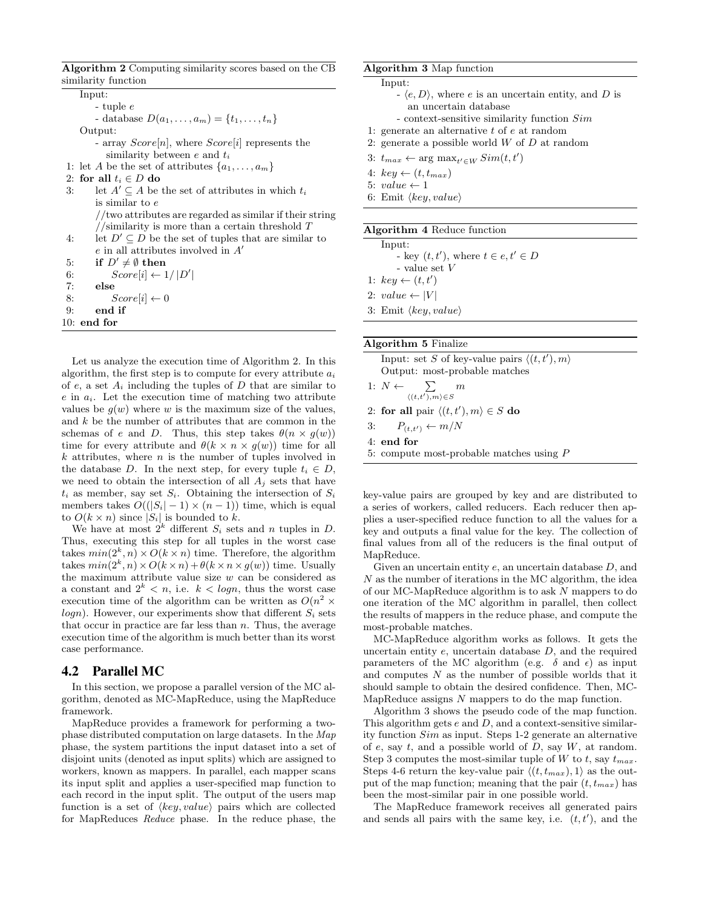Algorithm 2 Computing similarity scores based on the CB similarity function

Input: - tuple e - database  $D(a_1, ..., a_m) = \{t_1, ..., t_n\}$ Output: - array  $Score[n]$ , where  $Score[i]$  represents the similarity between  $e$  and  $t_i$ 1: let A be the set of attributes  $\{a_1, \ldots, a_m\}$ 2: for all  $t_i \in D$  do 3: let  $A' \subseteq A$  be the set of attributes in which  $t_i$ is similar to e //two attributes are regarded as similar if their string //similarity is more than a certain threshold  $T$ 4: let  $D' \subseteq D$  be the set of tuples that are similar to  $e$  in all attributes involved in  $A'$ 5: if  $D' \neq \emptyset$  then 6:  $Score[i] \leftarrow 1/|D'|$ 7: else 8:  $Score[i] \leftarrow 0$ 9: end if 10: end for

Let us analyze the execution time of Algorithm 2. In this algorithm, the first step is to compute for every attribute  $a_i$ of  $e$ , a set  $A_i$  including the tuples of  $D$  that are similar to  $e$  in  $a_i$ . Let the execution time of matching two attribute values be  $q(w)$  where w is the maximum size of the values, and  $k$  be the number of attributes that are common in the schemas of e and D. Thus, this step takes  $\theta(n \times q(w))$ time for every attribute and  $\theta(k \times n \times g(w))$  time for all  $k$  attributes, where  $n$  is the number of tuples involved in the database D. In the next step, for every tuple  $t_i \in D$ , we need to obtain the intersection of all  $A_i$  sets that have  $t_i$  as member, say set  $S_i$ . Obtaining the intersection of  $S_i$ members takes  $O((|S_i| - 1) \times (n - 1))$  time, which is equal to  $O(k \times n)$  since  $|S_i|$  is bounded to k.

We have at most  $2^k$  different  $S_i$  sets and n tuples in D. Thus, executing this step for all tuples in the worst case takes  $min(2^k, n) \times O(k \times n)$  time. Therefore, the algorithm takes  $min(2^k, n) \times O(k \times n) + \theta(k \times n \times g(w))$  time. Usually the maximum attribute value size  $w$  can be considered as a constant and  $2^k < n$ , i.e.  $k < log n$ , thus the worst case execution time of the algorithm can be written as  $O(n^2 \times$  $logn$ ). However, our experiments show that different  $S_i$  sets that occur in practice are far less than  $n$ . Thus, the average execution time of the algorithm is much better than its worst case performance.

#### 4.2 Parallel MC

In this section, we propose a parallel version of the MC algorithm, denoted as MC-MapReduce, using the MapReduce framework.

MapReduce provides a framework for performing a twophase distributed computation on large datasets. In the Map phase, the system partitions the input dataset into a set of disjoint units (denoted as input splits) which are assigned to workers, known as mappers. In parallel, each mapper scans its input split and applies a user-specified map function to each record in the input split. The output of the users map function is a set of  $\langle key, value \rangle$  pairs which are collected for MapReduces Reduce phase. In the reduce phase, the

#### Algorithm 3 Map function

Input:

- $\langle e, D \rangle$ , where e is an uncertain entity, and D is an uncertain database
- context-sensitive similarity function Sim
- 1: generate an alternative  $t$  of  $e$  at random
- 2: generate a possible world  $W$  of  $D$  at random
- 3:  $t_{max} \leftarrow \arg \max_{t' \in W} Sim(t, t')$
- 4:  $key \leftarrow (t, t_{max})$
- 5:  $value \leftarrow 1$
- 6: Emit  $\langle key, value \rangle$

|--|

| Input:                                      |
|---------------------------------------------|
| - key $(t, t')$ , where $t \in e, t' \in D$ |
| - value set $V$                             |
| 1: $key \leftarrow (t, t')$                 |
| 2: $value \leftarrow  V $                   |
| 3: Emit $\langle key, value \rangle$        |
|                                             |

#### Algorithm 5 Finalize

| Input: set S of key-value pairs $\langle (t, t'), m \rangle$ |  |  |  |  |
|--------------------------------------------------------------|--|--|--|--|
| Output: most-probable matches                                |  |  |  |  |
| 1: $N \leftarrow \sum m$<br>$\langle (t,t'),m\rangle \in S$  |  |  |  |  |
| 2: for all pair $\langle (t, t'), m \rangle \in S$ do        |  |  |  |  |
| 3: $P_{(t,t')} \leftarrow m/N$                               |  |  |  |  |
| $4:$ end for                                                 |  |  |  |  |

5: compute most-probable matches using P

key-value pairs are grouped by key and are distributed to a series of workers, called reducers. Each reducer then applies a user-specified reduce function to all the values for a key and outputs a final value for the key. The collection of final values from all of the reducers is the final output of MapReduce.

Given an uncertain entity e, an uncertain database D, and  $N$  as the number of iterations in the MC algorithm, the idea of our MC-MapReduce algorithm is to ask N mappers to do one iteration of the MC algorithm in parallel, then collect the results of mappers in the reduce phase, and compute the most-probable matches.

MC-MapReduce algorithm works as follows. It gets the uncertain entity  $e$ , uncertain database  $D$ , and the required parameters of the MC algorithm (e.g.  $\delta$  and  $\epsilon$ ) as input and computes  $N$  as the number of possible worlds that it should sample to obtain the desired confidence. Then, MC-MapReduce assigns N mappers to do the map function.

Algorithm 3 shows the pseudo code of the map function. This algorithm gets  $e$  and  $D$ , and a context-sensitive similarity function Sim as input. Steps 1-2 generate an alternative of e, say t, and a possible world of  $D$ , say  $W$ , at random. Step 3 computes the most-similar tuple of W to t, say  $t_{max}$ . Steps 4-6 return the key-value pair  $\langle (t, t_{max}), 1 \rangle$  as the output of the map function; meaning that the pair  $(t, t_{max})$  has been the most-similar pair in one possible world.

The MapReduce framework receives all generated pairs and sends all pairs with the same key, i.e.  $(t, t')$ , and the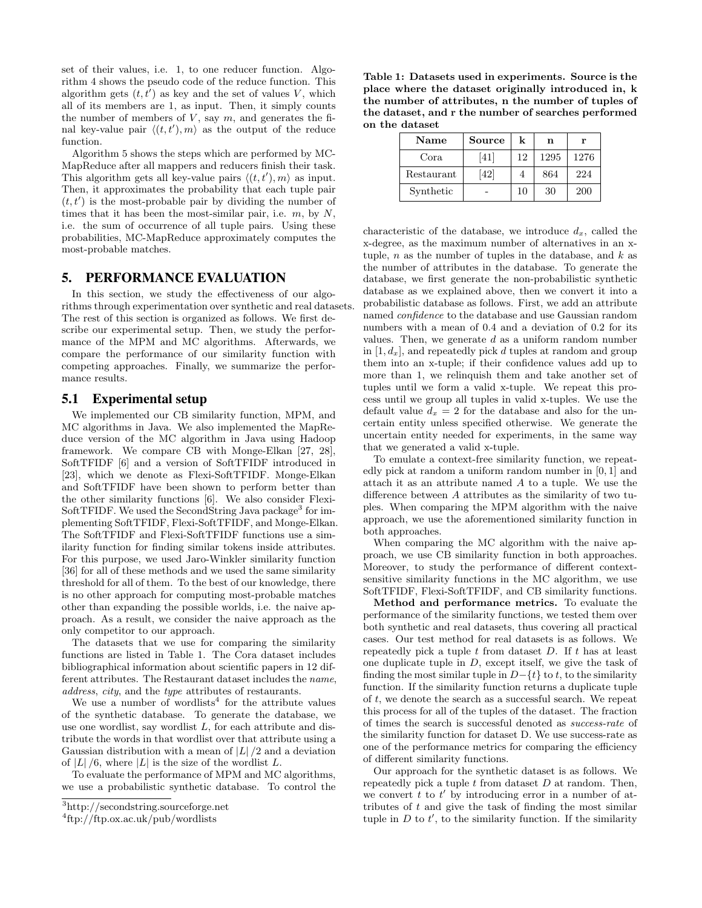set of their values, i.e. 1, to one reducer function. Algorithm 4 shows the pseudo code of the reduce function. This algorithm gets  $(t, t')$  as key and the set of values V, which all of its members are 1, as input. Then, it simply counts the number of members of  $V$ , say  $m$ , and generates the final key-value pair  $\langle (t, t'), m \rangle$  as the output of the reduce function.

Algorithm 5 shows the steps which are performed by MC-MapReduce after all mappers and reducers finish their task. This algorithm gets all key-value pairs  $\langle (t, t'), m \rangle$  as input. Then, it approximates the probability that each tuple pair  $(t, t')$  is the most-probable pair by dividing the number of times that it has been the most-similar pair, i.e.  $m$ , by  $N$ , i.e. the sum of occurrence of all tuple pairs. Using these probabilities, MC-MapReduce approximately computes the most-probable matches.

## 5. PERFORMANCE EVALUATION

In this section, we study the effectiveness of our algorithms through experimentation over synthetic and real datasets. The rest of this section is organized as follows. We first describe our experimental setup. Then, we study the performance of the MPM and MC algorithms. Afterwards, we compare the performance of our similarity function with competing approaches. Finally, we summarize the performance results.

#### 5.1 Experimental setup

We implemented our CB similarity function, MPM, and MC algorithms in Java. We also implemented the MapReduce version of the MC algorithm in Java using Hadoop framework. We compare CB with Monge-Elkan [27, 28], SoftTFIDF [6] and a version of SoftTFIDF introduced in [23], which we denote as Flexi-SoftTFIDF. Monge-Elkan and SoftTFIDF have been shown to perform better than the other similarity functions [6]. We also consider Flexi-SoftTFIDF. We used the SecondString Java package<sup>3</sup> for implementing SoftTFIDF, Flexi-SoftTFIDF, and Monge-Elkan. The SoftTFIDF and Flexi-SoftTFIDF functions use a similarity function for finding similar tokens inside attributes. For this purpose, we used Jaro-Winkler similarity function [36] for all of these methods and we used the same similarity threshold for all of them. To the best of our knowledge, there is no other approach for computing most-probable matches other than expanding the possible worlds, i.e. the naive approach. As a result, we consider the naive approach as the only competitor to our approach.

The datasets that we use for comparing the similarity functions are listed in Table 1. The Cora dataset includes bibliographical information about scientific papers in 12 different attributes. The Restaurant dataset includes the name, address, city, and the type attributes of restaurants.

We use a number of wordlists<sup>4</sup> for the attribute values of the synthetic database. To generate the database, we use one wordlist, say wordlist  $L$ , for each attribute and distribute the words in that wordlist over that attribute using a Gaussian distribution with a mean of  $|L|/2$  and a deviation of  $|L|/6$ , where  $|L|$  is the size of the wordlist L.

To evaluate the performance of MPM and MC algorithms, we use a probabilistic synthetic database. To control the

Table 1: Datasets used in experiments. Source is the place where the dataset originally introduced in, k the number of attributes, n the number of tuples of the dataset, and r the number of searches performed on the dataset

| Name       | Source | k  | n    | r    |
|------------|--------|----|------|------|
| Cora       | [41]   | 12 | 1295 | 1276 |
| Restaurant | [42]   |    | 864  | 224  |
| Synthetic  |        | 10 | 30   | 200  |

characteristic of the database, we introduce  $d_x$ , called the x-degree, as the maximum number of alternatives in an xtuple,  $n$  as the number of tuples in the database, and  $k$  as the number of attributes in the database. To generate the database, we first generate the non-probabilistic synthetic database as we explained above, then we convert it into a probabilistic database as follows. First, we add an attribute named confidence to the database and use Gaussian random numbers with a mean of 0.4 and a deviation of 0.2 for its values. Then, we generate  $d$  as a uniform random number in  $[1, d_x]$ , and repeatedly pick d tuples at random and group them into an x-tuple; if their confidence values add up to more than 1, we relinquish them and take another set of tuples until we form a valid x-tuple. We repeat this process until we group all tuples in valid x-tuples. We use the default value  $d_x = 2$  for the database and also for the uncertain entity unless specified otherwise. We generate the uncertain entity needed for experiments, in the same way that we generated a valid x-tuple.

To emulate a context-free similarity function, we repeatedly pick at random a uniform random number in [0, 1] and attach it as an attribute named A to a tuple. We use the difference between A attributes as the similarity of two tuples. When comparing the MPM algorithm with the naive approach, we use the aforementioned similarity function in both approaches.

When comparing the MC algorithm with the naive approach, we use CB similarity function in both approaches. Moreover, to study the performance of different contextsensitive similarity functions in the MC algorithm, we use SoftTFIDF, Flexi-SoftTFIDF, and CB similarity functions.

Method and performance metrics. To evaluate the performance of the similarity functions, we tested them over both synthetic and real datasets, thus covering all practical cases. Our test method for real datasets is as follows. We repeatedly pick a tuple  $t$  from dataset  $D$ . If  $t$  has at least one duplicate tuple in  $D$ , except itself, we give the task of finding the most similar tuple in  $D-\{t\}$  to t, to the similarity function. If the similarity function returns a duplicate tuple of t, we denote the search as a successful search. We repeat this process for all of the tuples of the dataset. The fraction of times the search is successful denoted as success-rate of the similarity function for dataset D. We use success-rate as one of the performance metrics for comparing the efficiency of different similarity functions.

Our approach for the synthetic dataset is as follows. We repeatedly pick a tuple  $t$  from dataset  $D$  at random. Then, we convert  $t$  to  $t'$  by introducing error in a number of attributes of  $t$  and give the task of finding the most similar tuple in  $D$  to  $t'$ , to the similarity function. If the similarity

<sup>3</sup>http://secondstring.sourceforge.net

<sup>4</sup> ftp://ftp.ox.ac.uk/pub/wordlists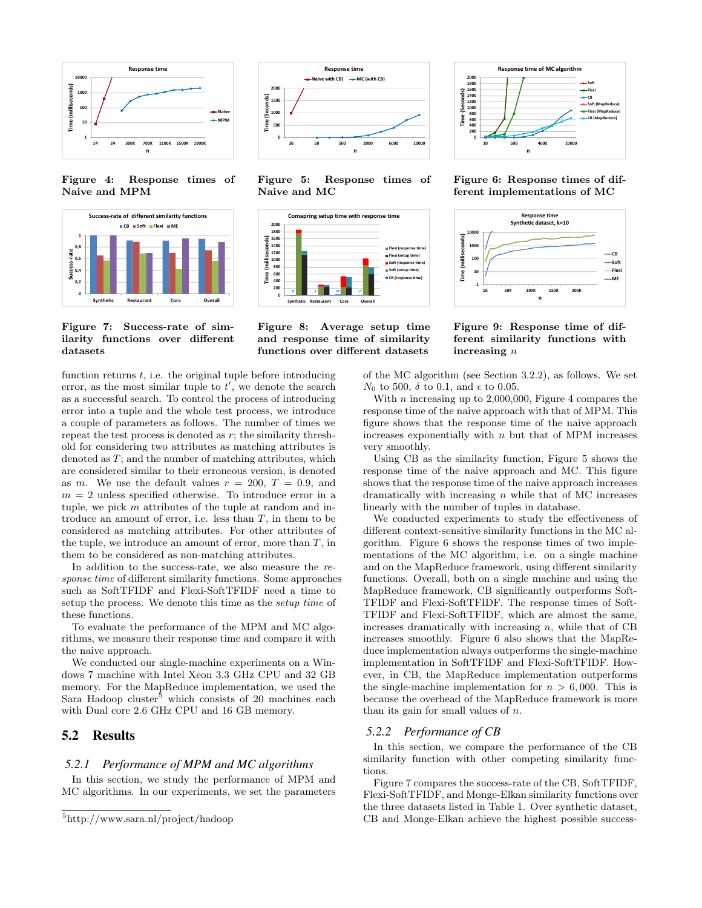

Figure 4: Response times of Naive and MPM



Figure 7: Success-rate of similarity functions over different datasets

function returns  $t$ , i.e. the original tuple before introducing error, as the most similar tuple to  $t'$ , we denote the search as a successful search. To control the process of introducing error into a tuple and the whole test process, we introduce a couple of parameters as follows. The number of times we repeat the test process is denoted as  $r$ ; the similarity threshold for considering two attributes as matching attributes is denoted as T; and the number of matching attributes, which are considered similar to their erroneous version, is denoted as m. We use the default values  $r = 200$ ,  $T = 0.9$ , and  $m = 2$  unless specified otherwise. To introduce error in a tuple, we pick m attributes of the tuple at random and introduce an amount of error, i.e. less than  $T$ , in them to be considered as matching attributes. For other attributes of the tuple, we introduce an amount of error, more than  $T$ , in them to be considered as non-matching attributes.

In addition to the success-rate, we also measure the response time of different similarity functions. Some approaches such as SoftTFIDF and Flexi-SoftTFIDF need a time to setup the process. We denote this time as the setup time of these functions.

To evaluate the performance of the MPM and MC algorithms, we measure their response time and compare it with the naive approach.

We conducted our single-machine experiments on a Windows 7 machine with Intel Xeon 3.3 GHz CPU and 32 GB memory. For the MapReduce implementation, we used the Sara Hadoop cluster<sup>5</sup> which consists of 20 machines each with Dual core 2.6 GHz CPU and 16 GB memory.

#### 5.2 Results

#### *5.2.1 Performance of MPM and MC algorithms*

In this section, we study the performance of MPM and MC algorithms. In our experiments, we set the parameters



Figure 5: Response times of Naive and MC







Figure 6: Response times of different implementations of MC



Figure 9: Response time of different similarity functions with increasing n

of the MC algorithm (see Section 3.2.2), as follows. We set  $N_0$  to 500,  $\delta$  to 0.1, and  $\epsilon$  to 0.05.

With  $n$  increasing up to 2,000,000, Figure 4 compares the response time of the naive approach with that of MPM. This figure shows that the response time of the naive approach increases exponentially with  $n$  but that of MPM increases very smoothly.

Using CB as the similarity function, Figure 5 shows the response time of the naive approach and MC. This figure shows that the response time of the naive approach increases dramatically with increasing  $n$  while that of MC increases linearly with the number of tuples in database.

We conducted experiments to study the effectiveness of different context-sensitive similarity functions in the MC algorithm. Figure 6 shows the response times of two implementations of the MC algorithm, i.e. on a single machine and on the MapReduce framework, using different similarity functions. Overall, both on a single machine and using the MapReduce framework, CB significantly outperforms Soft-TFIDF and Flexi-SoftTFIDF. The response times of Soft-TFIDF and Flexi-SoftTFIDF, which are almost the same, increases dramatically with increasing  $n$ , while that of CB increases smoothly. Figure 6 also shows that the MapReduce implementation always outperforms the single-machine implementation in SoftTFIDF and Flexi-SoftTFIDF. However, in CB, the MapReduce implementation outperforms the single-machine implementation for  $n > 6,000$ . This is because the overhead of the MapReduce framework is more than its gain for small values of  $n$ .

#### *5.2.2 Performance of CB*

In this section, we compare the performance of the CB similarity function with other competing similarity functions.

Figure 7 compares the success-rate of the CB, SoftTFIDF, Flexi-SoftTFIDF, and Monge-Elkan similarity functions over the three datasets listed in Table 1. Over synthetic dataset, CB and Monge-Elkan achieve the highest possible success-

<sup>5</sup>http://www.sara.nl/project/hadoop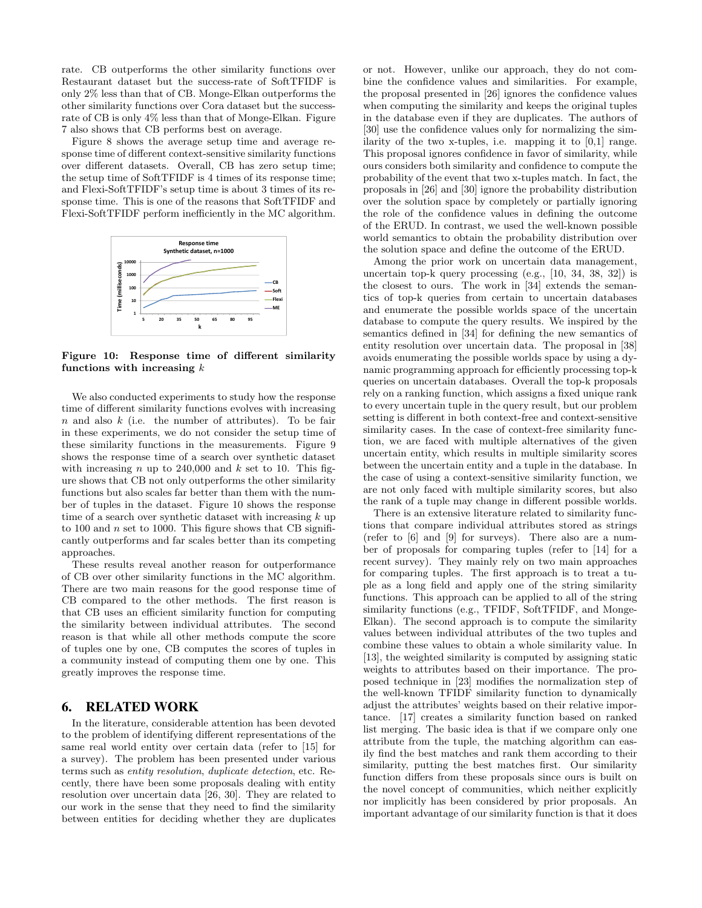rate. CB outperforms the other similarity functions over Restaurant dataset but the success-rate of SoftTFIDF is only 2% less than that of CB. Monge-Elkan outperforms the other similarity functions over Cora dataset but the successrate of CB is only 4% less than that of Monge-Elkan. Figure 7 also shows that CB performs best on average.

Figure 8 shows the average setup time and average response time of different context-sensitive similarity functions over different datasets. Overall, CB has zero setup time; the setup time of SoftTFIDF is 4 times of its response time; and Flexi-SoftTFIDF's setup time is about 3 times of its response time. This is one of the reasons that SoftTFIDF and Flexi-SoftTFIDF perform inefficiently in the MC algorithm.



Figure 10: Response time of different similarity functions with increasing  $k$ 

We also conducted experiments to study how the response time of different similarity functions evolves with increasing  $n$  and also  $k$  (i.e. the number of attributes). To be fair in these experiments, we do not consider the setup time of these similarity functions in the measurements. Figure 9 shows the response time of a search over synthetic dataset with increasing n up to  $240,000$  and k set to 10. This figure shows that CB not only outperforms the other similarity functions but also scales far better than them with the number of tuples in the dataset. Figure 10 shows the response time of a search over synthetic dataset with increasing  $k$  up to 100 and  $n$  set to 1000. This figure shows that CB significantly outperforms and far scales better than its competing approaches.

These results reveal another reason for outperformance of CB over other similarity functions in the MC algorithm. There are two main reasons for the good response time of CB compared to the other methods. The first reason is that CB uses an efficient similarity function for computing the similarity between individual attributes. The second reason is that while all other methods compute the score of tuples one by one, CB computes the scores of tuples in a community instead of computing them one by one. This greatly improves the response time.

### 6. RELATED WORK

In the literature, considerable attention has been devoted to the problem of identifying different representations of the same real world entity over certain data (refer to [15] for a survey). The problem has been presented under various terms such as entity resolution, duplicate detection, etc. Recently, there have been some proposals dealing with entity resolution over uncertain data [26, 30]. They are related to our work in the sense that they need to find the similarity between entities for deciding whether they are duplicates or not. However, unlike our approach, they do not combine the confidence values and similarities. For example, the proposal presented in [26] ignores the confidence values when computing the similarity and keeps the original tuples in the database even if they are duplicates. The authors of [30] use the confidence values only for normalizing the similarity of the two x-tuples, i.e. mapping it to [0,1] range. This proposal ignores confidence in favor of similarity, while ours considers both similarity and confidence to compute the probability of the event that two x-tuples match. In fact, the proposals in [26] and [30] ignore the probability distribution over the solution space by completely or partially ignoring the role of the confidence values in defining the outcome of the ERUD. In contrast, we used the well-known possible world semantics to obtain the probability distribution over the solution space and define the outcome of the ERUD.

Among the prior work on uncertain data management, uncertain top-k query processing (e.g., [10, 34, 38, 32]) is the closest to ours. The work in [34] extends the semantics of top-k queries from certain to uncertain databases and enumerate the possible worlds space of the uncertain database to compute the query results. We inspired by the semantics defined in [34] for defining the new semantics of entity resolution over uncertain data. The proposal in [38] avoids enumerating the possible worlds space by using a dynamic programming approach for efficiently processing top-k queries on uncertain databases. Overall the top-k proposals rely on a ranking function, which assigns a fixed unique rank to every uncertain tuple in the query result, but our problem setting is different in both context-free and context-sensitive similarity cases. In the case of context-free similarity function, we are faced with multiple alternatives of the given uncertain entity, which results in multiple similarity scores between the uncertain entity and a tuple in the database. In the case of using a context-sensitive similarity function, we are not only faced with multiple similarity scores, but also the rank of a tuple may change in different possible worlds.

There is an extensive literature related to similarity functions that compare individual attributes stored as strings (refer to [6] and [9] for surveys). There also are a number of proposals for comparing tuples (refer to [14] for a recent survey). They mainly rely on two main approaches for comparing tuples. The first approach is to treat a tuple as a long field and apply one of the string similarity functions. This approach can be applied to all of the string similarity functions (e.g., TFIDF, SoftTFIDF, and Monge-Elkan). The second approach is to compute the similarity values between individual attributes of the two tuples and combine these values to obtain a whole similarity value. In [13], the weighted similarity is computed by assigning static weights to attributes based on their importance. The proposed technique in [23] modifies the normalization step of the well-known TFIDF similarity function to dynamically adjust the attributes' weights based on their relative importance. [17] creates a similarity function based on ranked list merging. The basic idea is that if we compare only one attribute from the tuple, the matching algorithm can easily find the best matches and rank them according to their similarity, putting the best matches first. Our similarity function differs from these proposals since ours is built on the novel concept of communities, which neither explicitly nor implicitly has been considered by prior proposals. An important advantage of our similarity function is that it does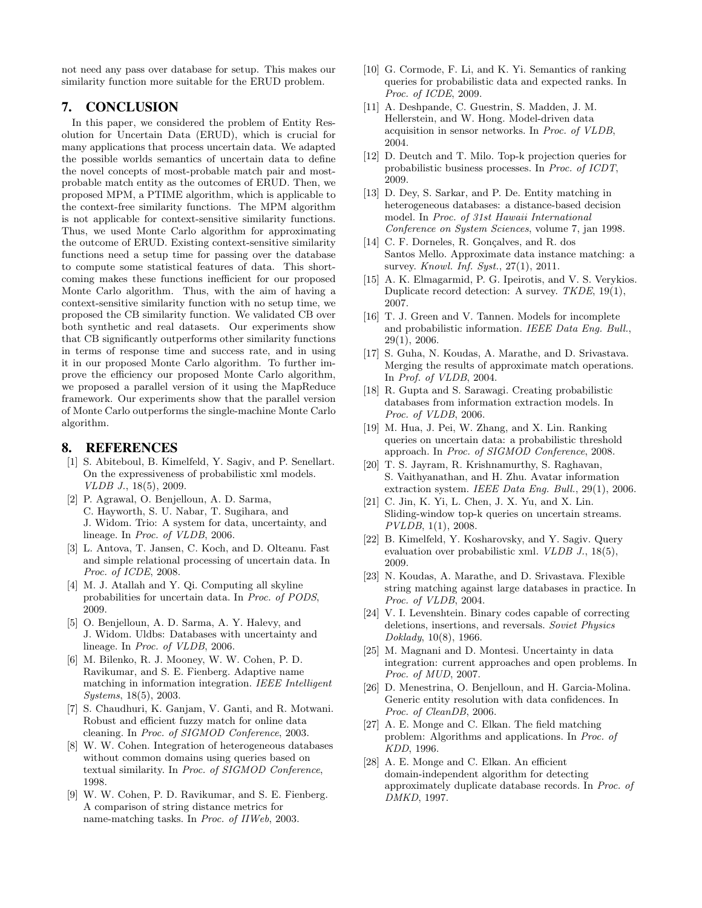not need any pass over database for setup. This makes our similarity function more suitable for the ERUD problem.

## 7. CONCLUSION

In this paper, we considered the problem of Entity Resolution for Uncertain Data (ERUD), which is crucial for many applications that process uncertain data. We adapted the possible worlds semantics of uncertain data to define the novel concepts of most-probable match pair and mostprobable match entity as the outcomes of ERUD. Then, we proposed MPM, a PTIME algorithm, which is applicable to the context-free similarity functions. The MPM algorithm is not applicable for context-sensitive similarity functions. Thus, we used Monte Carlo algorithm for approximating the outcome of ERUD. Existing context-sensitive similarity functions need a setup time for passing over the database to compute some statistical features of data. This shortcoming makes these functions inefficient for our proposed Monte Carlo algorithm. Thus, with the aim of having a context-sensitive similarity function with no setup time, we proposed the CB similarity function. We validated CB over both synthetic and real datasets. Our experiments show that CB significantly outperforms other similarity functions in terms of response time and success rate, and in using it in our proposed Monte Carlo algorithm. To further improve the efficiency our proposed Monte Carlo algorithm, we proposed a parallel version of it using the MapReduce framework. Our experiments show that the parallel version of Monte Carlo outperforms the single-machine Monte Carlo algorithm.

## 8. REFERENCES

- [1] S. Abiteboul, B. Kimelfeld, Y. Sagiv, and P. Senellart. On the expressiveness of probabilistic xml models. VLDB J., 18(5), 2009.
- [2] P. Agrawal, O. Benjelloun, A. D. Sarma, C. Hayworth, S. U. Nabar, T. Sugihara, and J. Widom. Trio: A system for data, uncertainty, and lineage. In Proc. of VLDB, 2006.
- [3] L. Antova, T. Jansen, C. Koch, and D. Olteanu. Fast and simple relational processing of uncertain data. In Proc. of ICDE, 2008.
- [4] M. J. Atallah and Y. Qi. Computing all skyline probabilities for uncertain data. In Proc. of PODS, 2009.
- [5] O. Benjelloun, A. D. Sarma, A. Y. Halevy, and J. Widom. Uldbs: Databases with uncertainty and lineage. In Proc. of VLDB, 2006.
- [6] M. Bilenko, R. J. Mooney, W. W. Cohen, P. D. Ravikumar, and S. E. Fienberg. Adaptive name matching in information integration. IEEE Intelligent Systems, 18(5), 2003.
- [7] S. Chaudhuri, K. Ganjam, V. Ganti, and R. Motwani. Robust and efficient fuzzy match for online data cleaning. In Proc. of SIGMOD Conference, 2003.
- [8] W. W. Cohen. Integration of heterogeneous databases without common domains using queries based on textual similarity. In Proc. of SIGMOD Conference, 1998.
- [9] W. W. Cohen, P. D. Ravikumar, and S. E. Fienberg. A comparison of string distance metrics for name-matching tasks. In Proc. of IIWeb, 2003.
- [10] G. Cormode, F. Li, and K. Yi. Semantics of ranking queries for probabilistic data and expected ranks. In Proc. of ICDE, 2009.
- [11] A. Deshpande, C. Guestrin, S. Madden, J. M. Hellerstein, and W. Hong. Model-driven data acquisition in sensor networks. In Proc. of VLDB, 2004.
- [12] D. Deutch and T. Milo. Top-k projection queries for probabilistic business processes. In Proc. of ICDT, 2009.
- [13] D. Dey, S. Sarkar, and P. De. Entity matching in heterogeneous databases: a distance-based decision model. In Proc. of 31st Hawaii International Conference on System Sciences, volume 7, jan 1998.
- [14] C. F. Dorneles, R. Gonçalves, and R. dos Santos Mello. Approximate data instance matching: a survey. *Knowl. Inf. Syst.*, 27(1), 2011.
- [15] A. K. Elmagarmid, P. G. Ipeirotis, and V. S. Verykios. Duplicate record detection: A survey. TKDE, 19(1), 2007.
- [16] T. J. Green and V. Tannen. Models for incomplete and probabilistic information. IEEE Data Eng. Bull., 29(1), 2006.
- [17] S. Guha, N. Koudas, A. Marathe, and D. Srivastava. Merging the results of approximate match operations. In Prof. of VLDB, 2004.
- [18] R. Gupta and S. Sarawagi. Creating probabilistic databases from information extraction models. In Proc. of VLDB, 2006.
- [19] M. Hua, J. Pei, W. Zhang, and X. Lin. Ranking queries on uncertain data: a probabilistic threshold approach. In Proc. of SIGMOD Conference, 2008.
- [20] T. S. Jayram, R. Krishnamurthy, S. Raghavan, S. Vaithyanathan, and H. Zhu. Avatar information extraction system. IEEE Data Eng. Bull., 29(1), 2006.
- [21] C. Jin, K. Yi, L. Chen, J. X. Yu, and X. Lin. Sliding-window top-k queries on uncertain streams. PVLDB, 1(1), 2008.
- [22] B. Kimelfeld, Y. Kosharovsky, and Y. Sagiv. Query evaluation over probabilistic xml. VLDB J., 18(5), 2009.
- [23] N. Koudas, A. Marathe, and D. Srivastava. Flexible string matching against large databases in practice. In Proc. of VLDB, 2004.
- [24] V. I. Levenshtein. Binary codes capable of correcting deletions, insertions, and reversals. Soviet Physics Doklady, 10(8), 1966.
- [25] M. Magnani and D. Montesi. Uncertainty in data integration: current approaches and open problems. In Proc. of MUD, 2007.
- [26] D. Menestrina, O. Benjelloun, and H. Garcia-Molina. Generic entity resolution with data confidences. In Proc. of CleanDB, 2006.
- [27] A. E. Monge and C. Elkan. The field matching problem: Algorithms and applications. In Proc. of KDD, 1996.
- [28] A. E. Monge and C. Elkan. An efficient domain-independent algorithm for detecting approximately duplicate database records. In Proc. of DMKD, 1997.